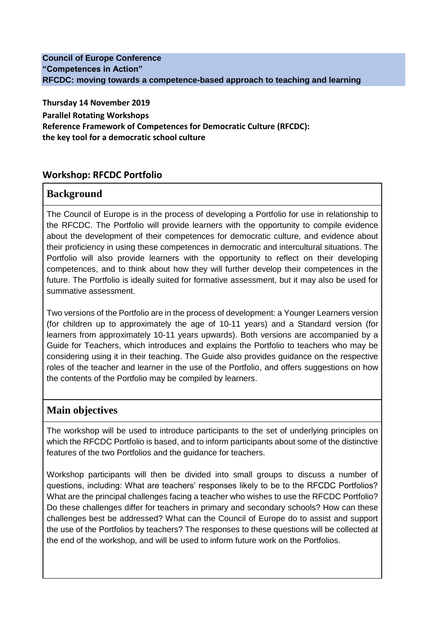#### **Council of Europe Conference "Competences in Action" RFCDC: moving towards a competence-based approach to teaching and learning**

**Thursday 14 November 2019 Parallel Rotating Workshops Reference Framework of Competences for Democratic Culture (RFCDC): the key tool for a democratic school culture**

# **Workshop: RFCDC Portfolio**

### **Background**

The Council of Europe is in the process of developing a Portfolio for use in relationship to the RFCDC. The Portfolio will provide learners with the opportunity to compile evidence about the development of their competences for democratic culture, and evidence about their proficiency in using these competences in democratic and intercultural situations. The Portfolio will also provide learners with the opportunity to reflect on their developing competences, and to think about how they will further develop their competences in the future. The Portfolio is ideally suited for formative assessment, but it may also be used for summative assessment.

Two versions of the Portfolio are in the process of development: a Younger Learners version (for children up to approximately the age of 10-11 years) and a Standard version (for learners from approximately 10-11 years upwards). Both versions are accompanied by a Guide for Teachers, which introduces and explains the Portfolio to teachers who may be considering using it in their teaching. The Guide also provides guidance on the respective roles of the teacher and learner in the use of the Portfolio, and offers suggestions on how the contents of the Portfolio may be compiled by learners.

# **Main objectives**

The workshop will be used to introduce participants to the set of underlying principles on which the RFCDC Portfolio is based, and to inform participants about some of the distinctive features of the two Portfolios and the guidance for teachers.

Workshop participants will then be divided into small groups to discuss a number of questions, including: What are teachers' responses likely to be to the RFCDC Portfolios? What are the principal challenges facing a teacher who wishes to use the RFCDC Portfolio? Do these challenges differ for teachers in primary and secondary schools? How can these challenges best be addressed? What can the Council of Europe do to assist and support the use of the Portfolios by teachers? The responses to these questions will be collected at the end of the workshop, and will be used to inform future work on the Portfolios.